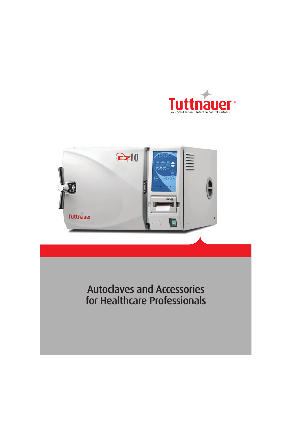



# Autoclaves and Accessories for Healthcare Professionals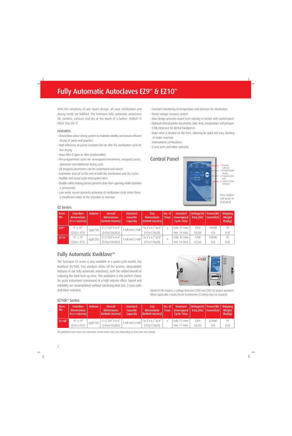## Fully Automatic Autoclaves EZ9<sup>™</sup> & EZ10<sup>™</sup>

With the simplicity of one touch design, all your sterilization and drying needs are fulfilled. The Tuttnauer fully automatic autoclaves fill, sterilize, exhaust and dry at the touch of a button. FORGET IT ONCE YOU SET IT.

#### FEATURES:

EZ Series

- Closed door active drying system to maintain sterility and ensure efficient drying of packs and pouches.
- High efficiency air pump circulates hot air after the sterilization cycle for fast drying.
- Hepa filter 0.2μm air filter (replaceable).
- Pre-programmed cycles for: unwrapped instruments; wrapped/packs; glassware and additional drying cycle.
- All program parameters can be customized and stored.
- Automatic shut off at the end of both the sterilization and dry cycles.
- Audible and visual cycle interruption alert.
- Double safety locking device prevents door from opening while chamber is pressurized.
- Low water sensor prevents activation of sterilization cycle when there is insufficient water in the chamber or reservoir.
- Constant monitoring of temperature and pressure for sterilization.
- Power outage recovery system.
- Door design prevents steam from coming in contact with control panel.
- Optional internal printer documents: date, time, temperature and pressure.
- 510k clearance for dental handpieces.
- Drain valve is located on the front, allowing for quick and easy draining of water reservoir.
- International certifications.

Control Panel

• 2 year parts and labor warranty.



### New, brighter and easier to

| <b>Item</b><br>No. | <b>Chamber</b><br><b>Dimensions</b><br>$\emptyset$ x L in(mm) | <b>Volume</b> | <b>Overall</b><br><b>Dimensions</b><br>$DxWxH$ in(mm) | <b>Standard</b><br><b>Cassette</b><br><b>Capacity</b> | Trav<br><b>Dimensions</b><br>$DxWxH$ in(mm) | No. of<br><b>Travs</b> | <b>Standard</b><br><b>Unwrapped</b><br><b>Cycle Time</b> | Voltage(V)<br>Freq.(Hz) | Power(W) <br>Current(A) | <b>Shipping</b><br>Weight<br>$\mathsf{lbs}(\mathsf{kg})$ |
|--------------------|---------------------------------------------------------------|---------------|-------------------------------------------------------|-------------------------------------------------------|---------------------------------------------|------------------------|----------------------------------------------------------|-------------------------|-------------------------|----------------------------------------------------------|
| EZ9 <sup>m</sup>   | $9''$ x 18"                                                   | 5gal/19L      | 21.5"x20"x14.4"                                       | 2 full and 2 half                                     | 16.3" x 6.7" x 0.8"                         |                        | Cold: 27 mins                                            | <b>120V</b>             | 1400W                   | 95                                                       |
|                    | $(230 \times 470)$                                            |               | (545x510x365)                                         |                                                       | (415x170x20)                                |                        | Hot: 13 mins                                             | 50/60                   | 12A                     | (43)                                                     |
| EZ10™              | 10" x 19"                                                     | 6gal/23L      | 21.5"x20"x14.4"                                       | 3 full and 3 half                                     | 16.3" x 6.7" x 0.8"                         |                        | Cold: 30 mins                                            | 120V                    | 1400W                   | 95                                                       |
|                    | $(254 \times 475)$                                            |               | (545x510x365)                                         |                                                       | (415x170x20)                                |                        | Hot: 14 mins                                             | 50/60                   | 12A                     | (43)                                                     |

### Fully Automatic Kwiklave<sup>™</sup>

The Tuttnauer EZ series is also available in a quick cycle model, the Kwiklave (EZ10k). This sterilizer offers all the proven, dependable features of our fully automatic autoclaves, with the added benefit of reducing the total heat up time. This autoclave is the perfect choice for quick instrument turnaround or a high volume office. Speed and reliability are accomplished without sacrificing load size. 2 year parts and labor warranty.



Model EZ10k requires a voltage between 220V and 235V for proper operation. When applicable a buck/boost transformer (0.5KVA) may be required.

#### **EZ10k™ Series**

| Item<br>. No.      | <b>Chamber</b><br><b>Dimensions</b><br>$\emptyset$ x L in(mm) | <b>Volume</b> | <b>Overall</b><br><b>Dimensions</b><br>$DxWxH$ in(mm) | <b>Standard</b><br>Cassette<br>Capacity | Trav<br><b>Dimensions</b><br>$ DxWxH$ in(mm) | No. of $\vert$<br><b>Travs</b> | <b>Standard</b><br>Unwrapped<br>Cycle Time | $\vert$ Voltage(V)   Power(W)   Shipping<br>Freq.(Hz) | $ $ Current(A) $ $ | Weight<br>$\mathsf{lbs}(\mathsf{kq})$ |
|--------------------|---------------------------------------------------------------|---------------|-------------------------------------------------------|-----------------------------------------|----------------------------------------------|--------------------------------|--------------------------------------------|-------------------------------------------------------|--------------------|---------------------------------------|
| EZ10k <sup>w</sup> | $10"$ x $19"$                                                 | 6qal/23L      | 21.5"x20"x14.4"                                       | 3 full and 3 half                       | 16.3" x 6.7" x 0.8"                          |                                | Cold: $21 \text{ mins}$                    | 230V                                                  | 2200W              | 95                                    |
|                    | (254 x 475)                                                   |               | (545x510x365)                                         |                                         | (415x170x20)                                 |                                | Hot: 11 mins                               | 50/60                                                 | 10A                | (43)                                  |

All published cycle times are estimated. Actual times may vary depending on load size and voltage.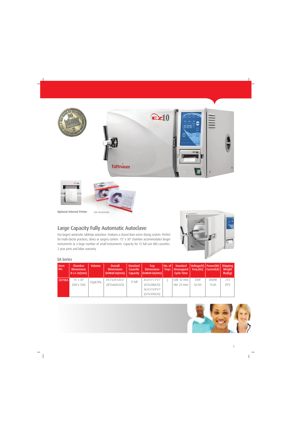



**Optional Internal Printer** See Accessories

### Large Capacity Fully Automatic Autoclave

Our largest automatic tabletop autoclave. Features a closed door active drying system. Perfect for multi-doctor practices, clinics or surgery centers. 15" x 30" chamber accommodates longer instruments or a large number of small instruments. Capacity for 15 full size IMS cassettes. 2 year parts and labor warranty.



#### EA Series

| <b>Item</b><br>l No. | <b>Chamber</b><br><b>Dimensions</b><br>$\emptyset$ x L in(mm) | <b>Volume</b> | <b>Overall</b><br><b>Dimensions</b><br>$DxWxH$ in $(mm)$ | <b>Standard</b><br><b>Cassette</b><br><b>Capacity</b> | Trav<br><b>Dimensions</b><br>$DxWxH$ in(mm) | $\vert$ No. of $\vert$<br><b>Travs</b> | <b>Standard</b><br>Unwrapped<br>Cycle Time | $\vert$ Voltage(V)   Power(W)   Shipping<br>Freq.(Hz) | Current $(A)$ | Weight<br>$\mathsf{lbs}(\mathsf{kq})$ |
|----------------------|---------------------------------------------------------------|---------------|----------------------------------------------------------|-------------------------------------------------------|---------------------------------------------|----------------------------------------|--------------------------------------------|-------------------------------------------------------|---------------|---------------------------------------|
| 3870EA               | 15" x 30"                                                     | 22gal/85L     | 34.5"x26"x20.6"                                          | 15 full                                               | 26.6"x11.3"x1"                              |                                        | Cold: 32 mins                              | 230V                                                  | 3000W         | 213                                   |
|                      | $(384 \times 760)$                                            |               | (875x665x525)                                            |                                                       | (675x286x25)                                |                                        | Hot: $23 \text{ mins}$                     | 50/60                                                 | 13.6A         | (97)                                  |
|                      |                                                               |               |                                                          |                                                       | 26.6"x13.8"x1"                              |                                        |                                            |                                                       |               |                                       |
|                      |                                                               |               |                                                          |                                                       | (675x350x25)                                |                                        |                                            |                                                       |               |                                       |

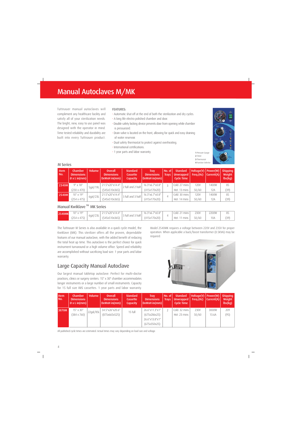## Manual Autoclaves M/MK

Tuttnauer manual autoclaves will compliment any healthcare facility and satisfy all of your sterilization needs. The bright, new, easy to use panel was designed with the operator in mind. Time tested reliability and durability are built into every Tuttnauer product.

#### FEATURES:

- Automatic shut off at the end of both the sterilization and dry cycles.
- A long life electro polished chamber and door.
- Double safety locking device prevents door from opening while chamber is pressurized.
- Drain valve is located on the front, allowing for quick and easy draining of water reservoir.
- Dual safety thermostat to protect against overheating.
- International certifications.
- 1 year parts and labor warranty.



1 Pressure Gauge 2 Timer 3 Thermostat

#### M Series

| <b>Item</b><br>l No. | <b>Chamber</b><br><b>Dimensions</b><br>$\emptyset$ x L in(mm) | <b>Volume</b> | <b>Overall</b><br><b>Dimensions</b><br>DxWxH in(mm) | <b>Standard</b><br><b>Cassette</b><br><b>Capacity</b> | Trav<br><b>Dimensions</b><br>$\vert$ DxWxH in(mm) $\vert$ | No. of<br><b>Travs</b> | <b>Standard</b><br>Unwrapped<br>Cycle Time | Voltage(V)   Power(W)<br>Freq.(Hz) | Current(A) | <b>Shipping</b><br>Weight<br>$\mathsf{lbs}(\mathsf{k}\mathsf{g})$ |
|----------------------|---------------------------------------------------------------|---------------|-----------------------------------------------------|-------------------------------------------------------|-----------------------------------------------------------|------------------------|--------------------------------------------|------------------------------------|------------|-------------------------------------------------------------------|
| 2340M                | $9" \times 18"$                                               | 5gal/19L      | 21.5"x20"x14.4"                                     | 2 full and 2 half                                     | 16.3"x6.7"x0.8"                                           |                        | Cold: 27 mins                              | 120V                               | 1400W      | 85                                                                |
|                      | $(230 \times 470)$                                            |               | (545x510x365)                                       |                                                       | (415x170x20)                                              |                        | Hot: 13 mins                               | 50/60                              | 12A        | (39)                                                              |
| 2540M                | 10" x 19"                                                     | 6qal/23L      | 21.5"x20"x14.4"                                     | 3 full and 3 half                                     | 16.3"x6.7"x0.8"                                           | 4                      | Cold: 30 mins                              | 120V                               | 1400W      | 85                                                                |
|                      | $(254 \times 475)$                                            |               | (545x510x365)                                       |                                                       | (415x170x20)                                              |                        | Hot: 14 mins                               | 50/60                              | 12A        | (39)                                                              |

### Manual Kwiklave ™ MK Series

| <b>2540MK</b> | 10" x 19" | $\sim$   | 1.5"x20"x14.4"        | 3 full and 3 | $7"$ Y $\cap$ $\Omega$ "<br>∵3"х6.,<br>د.16<br>AV.O | Cold: 21<br>mins | 230V  | 2200W |                |
|---------------|-----------|----------|-----------------------|--------------|-----------------------------------------------------|------------------|-------|-------|----------------|
|               | (254 x    | 6gal/23L | 545x510x365<br>TUAJUJ | half         | (415x170x20)                                        | Hot: 11 mins     | 50/60 | 10A   | 30<br><u>.</u> |

The Tuttnauer M Series is also available in a quick cycle model, the Kwiklave (MK). This sterilizer offers all the proven, dependable features of our manual autoclave, with the added benefit of reducing the total heat up time. This autoclave is the perfect choice for quick instrument turnaround or a high volume office. Speed and reliability are accomplished without sacrificing load size. 1 year parts and labor warranty.

### Large Capacity Manual Autoclave

Our largest manual tabletop autoclave. Perfect for multi-doctor practices, clinics or surgery centers. 15" x 30" chamber accommodates longer instruments or a large number of small instruments. Capacity for 15 full size IMS cassettes. 1 year parts and labor warranty. Model 2540MK requires a voltage between 220V and 235V for proper operation. When applicable a buck/boost transformer (0.5KVA) may be required.



| <b>Item</b><br>No. | Chamber<br><b>Dimensions</b><br>$\emptyset$ x L in(mm) | <b>Volume</b> | <b>Overall</b><br><b>Dimensions</b><br>$DxWxH$ in $(mm)$ | <b>Standard</b><br><b>Cassette</b><br><b>Capacity</b> | Trav<br><b>Dimensions</b><br>$ DxWxH$ in(mm) $ $ | No. of $ $<br><b>Travs</b> | <b>Standard</b><br>  Unwrapped<br>Cycle Time | Voltage(V)   Power(W)<br>Freq.(Hz) | Current(A) | <b>Shipping</b><br>Weight<br>$\mathsf{lbs}(\mathsf{kq})$ |
|--------------------|--------------------------------------------------------|---------------|----------------------------------------------------------|-------------------------------------------------------|--------------------------------------------------|----------------------------|----------------------------------------------|------------------------------------|------------|----------------------------------------------------------|
| 3870M              | 15" x 30"                                              | 22gal/85L     | 34.5"x26"x20.6"                                          | $15$ full                                             | 26.6"x11.3"x1"                                   |                            | Cold: 32 mins                                | 230V                               | 3000W      | 209                                                      |
|                    | $(384 \times 760)$                                     |               | (875x665x525)                                            |                                                       | (675x286x25)                                     |                            | Hot: 23 mins                                 | 50/60                              | 13.6A      | (95)                                                     |
|                    |                                                        |               |                                                          |                                                       | 26.6"x13.8"x1"                                   |                            |                                              |                                    |            |                                                          |
|                    |                                                        |               |                                                          |                                                       | (675x350x25)                                     |                            |                                              |                                    |            |                                                          |

All published cycle times are estimated. Actual times may vary depending on load size and voltage.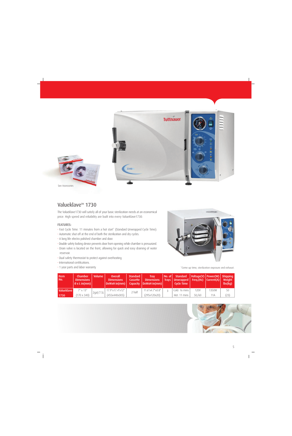

### Valueklave<sup>™</sup> 1730

The Valueklave1730 will satisfy all of your basic sterilization needs at an economical price. High speed and reliability are built into every Valueklave1730.

#### FEATURES:

- Fast Cycle Time. 11 minutes from a hot start\* (Standard Unwrapped Cycle Time).
- Automatic shut off at the end of both the sterilization and dry cycles.
- A long life electro polished chamber and door.
- Double safety locking device prevents door from opening while chamber is pressurized.
- Drain valve is located on the front, allowing for quick and easy draining of water reservoir.
- Dual safety thermostat to protect against overheating.
- International certifications.
- 1 year parts and labor warranty.



\*Come up time, sterilization exposure and exhaust.

| <b>Item</b><br>No. | <b>Chamber</b><br><b>Dimensions</b><br>$\emptyset$ x L in(mm) | <b>Volume</b> | <b>Overall</b><br><b>Dimensions</b><br>DxWxH in(mm) | Standard<br>Cassette<br><b>Capacity</b> | Trav<br><b>Dimensions</b><br>$DxWxH$ in(mm) | No. of I<br><b>Travs</b> | Standard<br>  Unwrapped   Freq.(Hz) $ $ Current(A) $ $ <sup>1</sup><br>Cycle Time | Voltage(V)   Power(W)   Shipping |       | Weight<br>$\mathsf{lbs}(\mathsf{kg})$ |
|--------------------|---------------------------------------------------------------|---------------|-----------------------------------------------------|-----------------------------------------|---------------------------------------------|--------------------------|-----------------------------------------------------------------------------------|----------------------------------|-------|---------------------------------------|
| <b>Valueklave</b>  | $7" \times 13"$                                               | 2qal/7.5L     | 17.9"x17.4"x12"                                     | 2 half                                  | 11.6"x4.7"x0.8"                             |                          | Cold: 16 mins                                                                     | 120V                             | 1350W | 50                                    |
| 1730               | $(170 \times 340)$                                            |               | (455x440x305)                                       |                                         | (295x120x20)                                |                          | Hot: 11 mins                                                                      | 50/60                            | 11A   | (23)                                  |

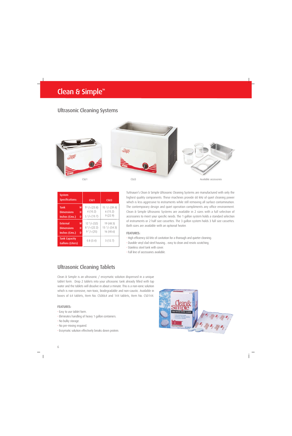## Clean & Simple<sup> $M$ </sup>

### Ultrasonic Cleaning Systems



| <b>System</b><br><b>Specifications:</b>                              | CSU <sub>1</sub>                                              | CSU <sub>3</sub>                                |
|----------------------------------------------------------------------|---------------------------------------------------------------|-------------------------------------------------|
| Tank<br>W<br><b>Dimensions</b><br>н<br>Inches (Cms.)<br>D            | 9 <sup>3</sup> /8(23.8)<br>4(10.2)<br>5 <sup>3</sup> /8(13.7) | $15 \frac{1}{2} (39.4)$<br>6(15.2)<br>9(22.9)   |
| <b>External</b><br>W<br><b>Dimensions</b><br>н<br>Inches (Cms.)<br>D | $12^{5}/8(32)$<br>8 <sup>3</sup> /4(22.2)<br>97/8(25)         | 19(48.3)<br>$13 \frac{1}{2} (34.3)$<br>16(40.6) |
| <b>Tank Capacity</b><br>Gallons (Liters)                             | 0.8(3.4)                                                      | 3(12.7)                                         |

Tuttnauer's Clean & Simple Ultrasonic Cleaning Systems are manufactured with only the highest quality components. These machines provide 60 kHz of quiet cleaning power which is less aggressive to instruments while still removing all surface contamination. The contemporary design and quiet operation compliments any office environment. Clean & Simple Ultrasonic Systems are available in 2 sizes with a full selection of accessories to meet your specific needs. The 1 gallon system holds a standard selection of instruments or 2 half size cassettes. The 3 gallon system holds 3 full size cassettes. Both sizes are available with an optional heater.

#### FEATURES:

- High efficiency 60 kHz of cavitation for a thorough and quieter cleaning.
- Durable vinyl clad steel housing... easy to clean and resists scratching.
- Stainless steel tank with cover.
- Full line of accessories available.

### Ultrasonic Cleaning Tablets

Clean & Simple is an ultrasonic / enzymatic solution dispensed in a unique tablet form. Drop 2 tablets into your ultrasonic tank already filled with tap water and the tablets will dissolve in about a minute. This is a non-ionic solution which is non-corrosive, non-toxic, biodegradable and non-caustic. Available in boxes of 64 tablets, Item No. CS0064 and 144 tablets, Item No. CS0144.

#### FEATURES:

- Easy to use tablet form.
- Eliminates handling of heavy 1 gallon containers.
- No bulky storage.
- No pre-mixing required.
- Enzymatic solution effectively breaks down protein.

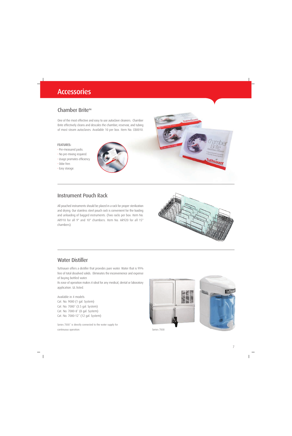## **Accessories**

### Chamber Brite<sup>™</sup>

One of the most effective and easy to use autoclave cleaners. Chamber Brite effectively cleans and descales the chamber, reservoir, and tubing of most steam autoclaves. Available 10 per box. Item No. CB0010.

#### FEATURES:

- Pre-measured packs.
- No pre-mixing required.
- Usage promotes efficiency.
- Odor free.
- Easy storage.



### Instrument Pouch Rack

All pouched instruments should be placed in a rack for proper sterilization and drying. Our stainless steel pouch rack is convenient for the loading and unloading of bagged instruments. (Two racks per box. Item No. AR910 for all 9" and 10" chambers. Item No. AR920 for all 15" chambers).



### Water Distiller

Tuttnauer offers a distiller that provides pure water. Water that is 99% free of total dissolved solids. Eliminates the inconvenience and expense of buying bottled water.

Its ease of operation makes it ideal for any medical, dental or laboratory application. UL listed.

Available in 4 models: Cat. No. 9000 (1 gal. System) Cat. No. 7000\* (3.5 gal. System) Cat. No. 7000-8\* (8 gal. System) Cat. No. 7000-12\* (12 gal. System)

Series 7000\* is directly connected to the water supply for continuous operation.





**Tuttnayer** 

Series 7000